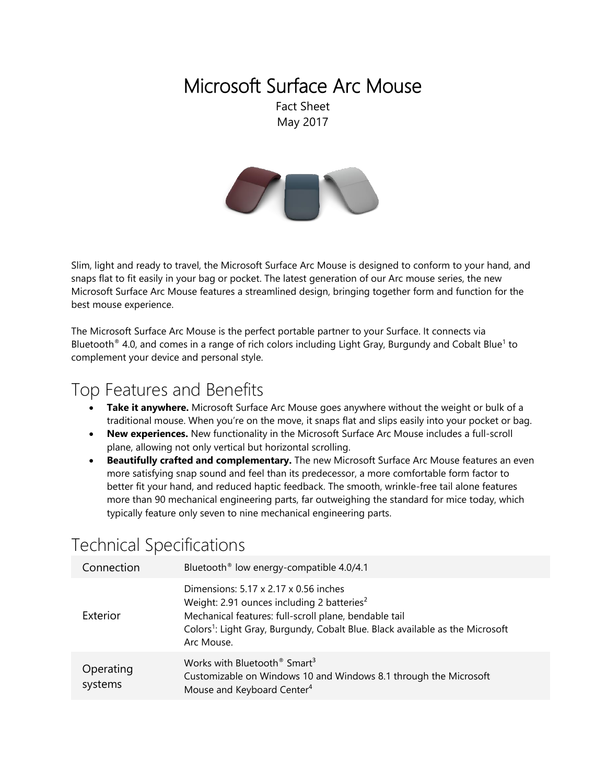# Microsoft Surface Arc Mouse

Fact Sheet May 2017



Slim, light and ready to travel, the Microsoft Surface Arc Mouse is designed to conform to your hand, and snaps flat to fit easily in your bag or pocket. The latest generation of our Arc mouse series, the new Microsoft Surface Arc Mouse features a streamlined design, bringing together form and function for the best mouse experience.

The Microsoft Surface Arc Mouse is the perfect portable partner to your Surface. It connects via Bluetooth® 4.0, and comes in a range of rich colors including Light Gray, Burgundy and Cobalt Blue<sup>1</sup> to complement your device and personal style.

### Top Features and Benefits

- **Take it anywhere.** Microsoft Surface Arc Mouse goes anywhere without the weight or bulk of a traditional mouse. When you're on the move, it snaps flat and slips easily into your pocket or bag.
- **New experiences.** New functionality in the Microsoft Surface Arc Mouse includes a full-scroll plane, allowing not only vertical but horizontal scrolling.
- **Beautifully crafted and complementary.** The new Microsoft Surface Arc Mouse features an even more satisfying snap sound and feel than its predecessor, a more comfortable form factor to better fit your hand, and reduced haptic feedback. The smooth, wrinkle-free tail alone features more than 90 mechanical engineering parts, far outweighing the standard for mice today, which typically feature only seven to nine mechanical engineering parts.

## Technical Specifications

| Connection           | Bluetooth <sup>®</sup> low energy-compatible 4.0/4.1                                                                                                                                                                                                                |
|----------------------|---------------------------------------------------------------------------------------------------------------------------------------------------------------------------------------------------------------------------------------------------------------------|
| Exterior             | Dimensions: 5.17 x 2.17 x 0.56 inches<br>Weight: 2.91 ounces including 2 batteries <sup>2</sup><br>Mechanical features: full-scroll plane, bendable tail<br>Colors <sup>1</sup> : Light Gray, Burgundy, Cobalt Blue. Black available as the Microsoft<br>Arc Mouse. |
| Operating<br>systems | Works with Bluetooth <sup>®</sup> Smart <sup>3</sup><br>Customizable on Windows 10 and Windows 8.1 through the Microsoft<br>Mouse and Keyboard Center <sup>4</sup>                                                                                                  |